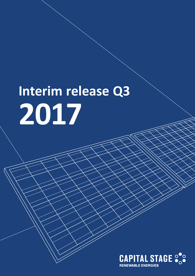# **Interim release Q3 2017**

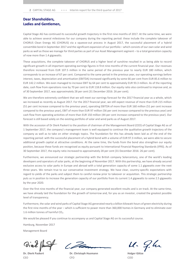### Dear Shareholders, Ladies and Gentlemen,

Capital Stage AG has continued its successful growth trajectory in the first nine months of 2017. At the same time, we were able to achieve several milestones for our company during the reporting period: these include the complete takeover of CHORUS Clean Energy AG (CHORUS) via a squeeze-out process in August 2017, the successful placement of a hybrid convertible bond in September 2017 and the significant expansion of our portfolio – which consists of our own solar and wind parks as well as those we manage for third parties as part of our Asset Management segment – to a total generation capacity of now more than 1.4 gigawatts.

These acquisitions, the complete takeover of CHORUS and a higher level of sunshine resulted in us being able to record significant growth in all important operating earnings figures in first nine months of the current financial year. Our revenues therefore increased from EUR 107.5 million in the same period of the previous year to nearly EUR 180 million, which corresponds to an increase of 67 per cent. Compared to the same period in the previous year, our operating earnings before interest, taxes, depreciation and amortisation (EBITDA) increased significantly by some 66 per cent from EUR 85.6 million to EUR 142.2 million. We even managed to increase EBIT by 64 per cent to approximately EUR 93.3 million. As of the reporting date, cash flow from operations rose by 70 per cent to EUR 118.8 million. Our equity ratio also continued to improve and, as of 30 September 2017, was approximately 28 per cent (31 December 2016: 26 per cent).

We are therefore extremely confident that we will meet our earnings forecast for the 2017 financial year as a whole, which we increased as recently as August 2017. For the 2017 financial year, we still expect revenue of more than EUR 215 million (51 per cent increase compared to the previous year), operating EBITDA of more than EUR 160 million (51 per cent increase compared to the previous year), EBIT of more than EUR 97 million (56 per cent increase compared to the previous year) and cash flow from operating activities of more than EUR 150 million (44 per cent increase compared to the previous year). Our forecast is still based solely on the existing portfolio of solar and wind parks as of August 2017.

With the accession of Dr Dierk Paskert to the position of chairman of the Management Board (CEO) of Capital Stage AG as of 1 September 2017, the company's management team is well equipped to continue the qualitative growth trajectory of the company as well as to take on other strategic topics. The foundation for this has already been laid as of the end of the reporting period: with the successful placement of a hybrid bond with a volume of EUR 97.3 million, we were able to secure additional growth capital at attractive conditions. At the same time, the funds from the bond also strengthen our equity position, because these funds are recognised as equity pursuant to International Financial Reporting Standards (IFRS). As of 30 September 2017, the equity ratio increased to approximately 28 per cent (31 December 2016: 26 per cent).

Furthermore, we announced our strategic partnership with the British company Solarcentury, one of the world's leading developers and operators of solar parks, at the beginning of November 2017. With this partnership, we have already secured exclusive access to solar parks in Europe and abroad with a total generation capacity of some 1.1 gigawatts over the next three years. We remain true to our conservative investment strategy. We have clear, country-specific expectations with regard to yields of the parks and subject them to careful review prior to takeover or acquisition. This strategic partnership puts us in position to increase the generation capacity of our portfolio from its current 1.4 gigawatts to some 2.5 gigawatts by the year 2020.

Over the first nine months of the financial year, our company generated excellent results and is on track. At the same time, we have already laid the foundation for the growth of tomorrow and, for you as an investor, created the greatest possible level of transparency.

Furthermore, the solar and wind parks of Capital Stage AG generated nearly a billion kilowatt-hours of green electricity during the first nine months of the year – which is sufficient to power more than 360,000 homes in Germany and to eliminate over 1.6 million tonnes of harmful  $CO<sub>2</sub>$ .

We would be pleased if you continue to accompany us and Capital Stage AG on its successful course.

Hamburg, November 2017

Management Board

Dial /

C. Dan

Dr. Dierk Paskert Dr. Christoph Husmann Holger Götze CEO CFO COO

11. 9.hr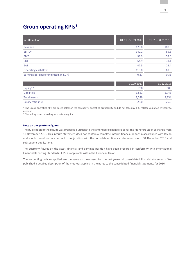# Group operating KPIs\*

| in EUR million                         | 01.01. - 30.09.2017 | 01.01. - 30.09.2016 |
|----------------------------------------|---------------------|---------------------|
| Revenue                                | 179.8               | 107.5               |
| <b>EBITDA</b>                          | 142.1               | 85.6                |
| <b>EBIT</b>                            | 93.3                | 57.0                |
| <b>EBT</b>                             | 54.9                | 31.1                |
| EAT                                    | 47.5                | 28.4                |
| Operating cash flow                    | 118.8               | 69.8                |
| Earnings per share (undiluted, in EUR) | 0.37                | 0.36                |
|                                        |                     |                     |

|                   | 30.09.2017 | 31.12.2016 |
|-------------------|------------|------------|
| Equity**          | 708        | 609        |
| Liabilities       | 1.821      | 1,745      |
| Total assets      | 2,529      | 2,354      |
| Equity ratio in % | 28.0       | 25.9       |

\* The Group operating KPIs are based solely on the company's operating profitability and do not take any IFRS-related valuation effects into account.

\*\* Including non-controlling interests in equity.

#### Note on the quarterly figures

The publication of the results was prepared pursuant to the amended exchange rules for the Frankfurt Stock Exchange from 12 November 2015. This interim statement does not contain a complete interim financial report in accordance with IAS 34 and should therefore only be read in conjunction with the consolidated financial statements as of 31 December 2016 and subsequent publications.

The quarterly figures on the asset, financial and earnings position have been prepared in conformity with International Financial Reporting Standards (IFRS) as applicable within the European Union.

The accounting policies applied are the same as those used for the last year-end consolidated financial statements. We published a detailed description of the methods applied in the notes to the consolidated financial statements for 2016.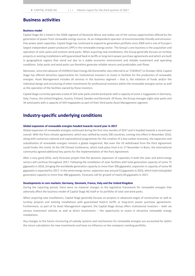## Business activities

#### Business model

Capital Stage AG is listed in the SDAX segment of Deutsche Börse and makes use of the various opportunities offered by the generation of power from renewable energy sources. As an independent operator of environmentally friendly and emissionfree power plant capacities, Capital Stage has continued to expand its generation portfolio since 2009 and is one of Europe's largest independent power producers (IPP) in the renewable energy sector. The Group's core business is the acquisition and operation of solar parks and onshore wind parks. When acquiring new installations, the Group generally focuses on turnkey projects or existing installations with guaranteed feed-in tariffs or long-term power purchase agreements and which are built in geographical regions that stand out due to a stable economic environment and reliable investment and operating conditions. Solar parks and wind parks can therefore generate reliable returns and predictable cash flows.

Moreover, since the takeover of CHORUS Clean Energy AG (hereinafter also referred to as "CHORUS") in October 2016, Capital Stage has offered attractive opportunities for institutional investors to invest in facilities for the production of renewable energies. Asset Management includes all services in this business segment – that is, the initiation of funds and/or the individual design and structuring of other investments for professional investors within the renewable energies sector as well as the operation of the facilities owned by these investors.

Capital Stage currently operates a total of 163 solar parks and 64 wind parks with a capacity of some 1.4 gigawatts in Germany, Italy, France, the United Kingdom, Austria, Finland, Sweden and Denmark. Of those, the Group manages eight solar parks and 34 wind parks with a capacity of 429 megawatts as part of their third-party Asset Management segment.

## Industry-specific underlying conditions

#### Global expansion of renewable energies headed towards record year in 2017

Global expansion of renewable energies continued during the first nine months of 2017 and is headed towards a record year overall. With the Paris climate agreement, which was ratified by nearly 200 countries, coming into effect in November 2016, along with numerous national and supranational programmes for the creation of a low-carbon economy, the expansion and subsidisation of renewable energies remains a global megatrend. Not even the US withdrawal from the Paris Agreement could hinder this trend. At the UN Climate Conference, which took place from 6 to 17 November in Bonn, the international community agreed additional key points for the implementation of the Paris Agreement.

After a very good 2016, early forecasts project that the dynamic expansion of capacities in both the solar and wind energy sectors will continue throughout 2017. Following the installation of solar facilities with total generation capacity of some 75 gigawatts in 2016, bringing the worldwide generation capacity to more than 300 gigawatts, expansion in capacity of some 90 gigawatts is expected for 2017. In the wind energy sector, expansion was around 52 gigawatts in 2016, which took total global generation capacity to more than 480 gigawatts. Forecasts call for growth of nearly 60 gigawatts in 2017.

#### Developments in core markets: Germany, Denmark, France, Italy and the United Kingdom

During the reporting period, there were no material changes to the legislative framework for renewable energies that adversely affect the business model of Capital Stage AG itself or its portfolio of solar and wind parks.

When acquiring new installations, Capital Stage generally focuses on projects in advanced stages of construction as well as turnkey projects and existing installations with guaranteed feed-in tariffs or long-term power purchase agreements. Furthermore, as part of its Asset Management segment, the Capital Stage Group offers institutional investors – both via various investment vehicles as well as direct investments – the opportunity to invest in attractive renewable energy installations.

Any changes to the future structuring of subsidy systems and mechanisms for renewable energies are accounted for within the return calculations for new investments and have no influence on the company's existing portfolio.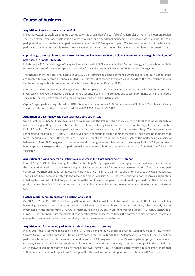# Course of business

#### Acquisition of an Italian solar park portfolio

In February 2016, Capital Stage signed a contract for the acquisition of a portfolio of Italian solar parks in the Piedmont region. The seller of the solar park portfolio is a project developer and operational management company based in Spain. The solar park portfolio consists of four solar parks and has a capacity of 16.9 megawatts peak. The transaction for two of the four solar parks was completed on 13 July 2016. The transaction for the remaining two solar parks was completed in February 2017.

#### Capital Stage acquires share package from institutional investor in CHORUS Clean Energy AG in exchange for the issue of new shares in Capital Stage AG

In February 2017, Capital Stage AG acquired an additional 54,999 shares in CHORUS Clean Energy AG – which amounts to some 0.2 per cent of the share capital in CHORUS – from an institutional investor in CHORUS Clean Energy AG.

The acquisition of the additional shares in CHORUS is structured as a share exchange where five (5) shares in Capital Stage are granted for every three (3) shares in CHORUS. This rate of exchange therefore corresponds to the rate which was used for the voluntary public takeover offer made by Capital Stage AG in October 2016.

In order to create the new Capital Stage shares, the company carried out a capital increase of EUR 91,665.00 in return for stock, which involved the partial utilisation of its authorised capital and excluded the subscription rights of its shareholders. The capital increase was entered into the commercial register on 21 March 2017.

Capital Stage's participating interest in CHORUS came to approximately 95.0037 per cent as of 30 June 2017 following Capital Stage's acquisition via the market of an additional 105,735 shares in CHORUS.

#### Acquisition of a 5.0-megawatts-peak solar park portfolio in Italy

On 8 March 2017, Capital Stage acquired five solar parks in the Italian region of Apulia with a total generation capacity of nearly 5.0 megawatts peak. The total investment volume, including loans taken on in relation to projects, is approximately EUR 19.5 million. The five solar parks are located in the sunny Apulia region in south-eastern Italy. The five parks were connected to the grid in 2010 and 2011 and have been in continuous operation since that time. The sellers in the transaction were Energiequelle GmbH, De Energy S.r.l. (Dextella Group) and Stern Energy S.p.A. Each of the parks has a capacity of between 0.93 and 0.99 megawatts. The parks benefit from guaranteed feed-in tariffs averaging EUR 0.3054 per kilowatthour. Capital Stage expects the solar parks to make revenue contributions of some EUR 2.6 million from their first full year of operation.

#### Acquisition of a wind park for an institutional investor in the Asset Management segment

In April 2017, CHORUS Clean Energy AG – the Capital Stage Group's specialist for managing institutional investors – acquired the Clementine wind park in the French region of Picardy on behalf of a renowned German pension fund. The wind park comprises five Enercon E-82 turbines, each of which has a hub height of 78.3 metres and a nominal capacity of 2.3 megawatts. The turbines have been connected to the power grid since February 2015. Therefore, the wind park receives a guaranteed initial feed-in tariff of EUR 0.0852 per fed-in kilowatt-hour. In every full year of operation, it is planned that the turbines will produce more than 24,000 megawatt-hours of green electricity and therefore eliminate almost 15,000 tonnes of harmful CO<sub>2</sub>.

#### Further capital commitment from an institutional client

On 20 April 2017, CHORUS Clean Energy AG announced that it will be able to invest a further EUR 50 million, including borrowing, via one of its Luxembourg SICAV special funds. A German-based financial institution, which already has an investment in the partial fund CHORUS Infrastructure Fund S.A. SICAV-SIF Renewables Europe I ("CHORUS Renewables Europe I"), has stepped up its commitment considerably. With the increased funds, the portfolio, which comprises renewable energy facilities in various European countries, is set to be expanded even further.

#### Acquisition of a further wind park for institutional investors in Germany

In May 2017, the Asset Management division of CHORUS Clean Energy AG acquired a further German wind park – in Jerichow, Saxony-Anhalt – on behalf of the institutional investors in the special fund CHORUS Renewables Germany I. The seller of the park – which features two turbines with a total capacity of 4.6 megawatts – is the Papenburg-based project development company JOHANN BUNTE Bauunternehmung, from whom CHORUS had previously acquired a wind park in the rural district of Jerichower Land in the state of Saxony-Anhalt. The two Enercon E-82 E2 turbines each feature a hub height of more than 108 metres and a nominal capacity of 2.3 megawatts. The park commenced operations in February 2017 and thus benefits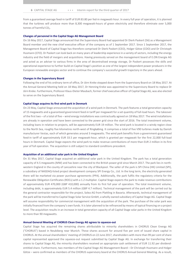from a guaranteed average feed-in tariff of EUR 83.80 per fed-in megawatt-hour. In every full year of operation, it is planned that the turbines will produce more than 8,300 megawatt-hours of green electricity and therefore eliminate over 5,000 tonnes of harmful  $CO<sub>2</sub>$ .

#### Changes of personnel in the Capital Stage AG Management Board

On 16 May 2017, Capital Stage announced that the Supervisory Board had appointed Dr Dierk Paskert (56) as a Management Board member and the new chief executive officer of the company as of 1 September 2017. Since 1 September 2017, the Management Board of Capital Stage has therefore comprised Dr Dierk Paskert (CEO), Holger Götze (COO) and Dr Christoph Husmann (CFO). Dr Paskert can look back on many years of leadership experience in a variety of sectors, including the energy industry and the field of mergers and acquisitions. Having previously served on the management board of E.ON Energie AG and acted as an adviser to various firms in the area of decentralised energy storage, Dr Paskert possesses the skills and operational experience to further build on Capital Stage's position as one of the largest independent power producers in the European renewable energies sector and to continue the company's successful growth trajectory in the years ahead.

#### Changes in the Supervisory Board

Following the end of his ordinary term of office, Dr Jörn Kreke stepped down from the Supervisory Board on 18 May 2017. At the Annual General Meeting held on 18 May 2017, Dr Henning Kreke was appointed to the Supervisory Board to replace Dr Jörn Kreke. Furthermore, Professor Klaus-Dieter Maubach, former chief executive officer of Capital Stage AG, was also elected to serve on the Supervisory Board.

#### Capital Stage acquires its first wind park in Denmark

On 23 May, Capital Stage announced the acquisition of a wind park in Denmark. The park features a total generation capacity of 15 megawatts and a guaranteed government feed-in tariff per megawatt for a set quantity of full-load hours. The takeover of the first two – of a total of five – wind energy installations was contractually agreed on 18 May 2017. The wind installations are already in operation and have been connected to the power grid since the start of 2016. The total investment volume, including loans in relation to projects, will be approximately EUR 19 million. The wind park is located in a windy region close to the North Sea, roughly five kilometres north-west of Ringkøbing. It comprises a total of five V90 turbines made by Danish manufacturer Vestas, each of which generates around 3 megawatts. The wind park benefits from a government-guaranteed feed-in tariff of approximately EUR 33.5 per megawatt-hour, which is granted per megawatt for the first 22,000 full-load hours in Denmark. Capital Stage expects the wind park to make revenue contributions of more than EUR 2 million in its first year of full operation. The acquisition is still subject to standard conditions precedent.

#### Acquisition of an additional solar park in the United Kingdom

On 31 May 2017, Capital Stage acquired an additional solar park in the United Kingdom. The park has a total generation capacity of 4.5 megawatts (MW) and has been connected to the British power grid since March 2017. The park lies in northwestern England in the county of Lancashire near the city of Blackpool. The seller of the park is SPI China (HK) Limited (SPI), a subsidiary of NASDAQ-listed project development company SPI Energy Co., Ltd. In the long term, the electricity generated there will be marketed via power purchase agreements (PPA). Additionally, the park fulfils the regulatory criteria for the Renewable Obligation Certificates (ROCs) with a 1.2 multiplier. Capital Stage expects the park to make revenue contributions of approximately EUR 470,000 (GBP 410,000) annually from its first full year of operation. The total investment volume, including debt, is approximately EUR 5.4 million (GBP 4.7 million). Technical management of the park will be carried out by the general contractor responsible for the project, Solea AG from Plattling in Bavaria. Afterwards, technical management of the park will be transferred to Capital Stage Solar Service GmbH, a wholly owned subsidiary of Capital Stage AG. Capital Stage will assume responsibility for commercial management with the acquisition of the park. The purchase of the solar park was initially financed from the company's own funds. It is later planned to be refinanced by means of typical financing on a project level. The acquisition results in an increase in total generation capacity of all Capital Stage solar parks in the United Kingdom to more than 90 megawatts.

#### Annual General Meeting of CHORUS Clean Energy AG agrees to squeeze-out

Capital Stage has acquired the remaining shares attributable to minority shareholders in CHORUS Clean Energy AG ("CHORUS") based in Neubiberg near Munich. These shares account for around five per cent of issued share capital in CHORUS. At the annual shareholders' meeting of CHORUS on 22 June 2017, shareholders with more than 99 per cent of share capital represented approved the squeeze-out request submitted by Capital Stage AG. In exchange for transferring their shares to Capital Stage AG, the minority shareholders received an appropriate cash settlement of EUR 11.92 per dividendentitled share. Furthermore, two members of the Capital Stage AG Management Board – Dr Christoph Husmann and Holger Götze – were confirmed as members of the CHORUS supervisory board at the CHORUS Annual General Meeting. As a result,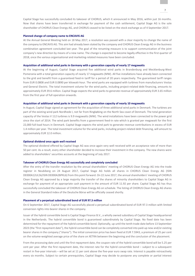Capital Stage has successfully concluded its takeover of CHORUS, which it announced in May 2016, within just 16 months. Now that shares have been transferred in exchange for payment of the cash settlement, Capital Stage AG is the sole shareholder of CHORUS Clean Energy AG, and CHORUS ceased to be listed on the stock exchange as of 4 September 2017.

#### Planned change of company name to ENCAVIS AG

At the Annual General Meeting held on 18 May 2017, a resolution was passed with a clear majority to change the name of the company to ENCAVIS AG. This aim had already been stated by the company and CHORUS Clean Energy AG in the business combination agreement concluded last year. The goal of the renaming measure is to support communication of the joint company's new direction by means of a new name. The change is expected to become legally effective in the first quarter of 2018, once the various organisational and marketing-related measures have been concluded.

#### Acquisition of additional wind parks in Germany with a generation capacity of nearly 17 megawatts

At the beginning of August, Capital Stage acquired five additional wind parks in Brandenburg and Mecklenburg-West Pomerania with a total generation capacity of nearly 17 megawatts (MW). All five installations have already been connected to the grid and benefit from a guaranteed feed-in tariff for a period of 20 years respectively. The guaranteed tariff ranges from EUR 0.0808 and EUR 0.0890 per kilowatt-hour. The wind parks are equipped with turbines from manufacturers Vestas and General Electric. The total investment volume for the wind parks, including project-related debt financing, amounts to approximately EUR 39.6 million. Capital Stage expects the wind parks to generate revenue of approximately EUR 3.65 million from the first year of full operation onwards.

#### Acquisition of additional wind parks in Denmark with a generation capacity of nearly 10 megawatts

In August, Capital Stage signed an agreement for the acquisition of three additional wind parks in Denmark. The turbines are part of the existing wind park Nordhede I, not far from Ringkøbing on the North Sea coast of Denmark. The total generation capacity of the Vestas V 112 turbines is 9.9 megawatts (MW). The wind installations have been connected to the power grid since the start of 2014. The wind park benefits from a government feed-in rate which is granted per megawatt for the first 22,000 full-load hours in Denmark. Capital Stage expects the wind park to generate revenue contributions in excess of EUR 1.4 million per year. The total investment volume for the wind parks, including project-related debt financing, will amount to approximately EUR 12.0 million.

#### Optional dividend once again well received

The optional dividend offered by Capital Stage AG was once again very well received with an acceptance rate of more than 50 per cent. As a result, every other shareholder decided to increase their investment in the company. The new shares were added to shareholders' securities accounts at the beginning of July 2017.

#### Takeover of CHORUS Clean Energy AG successfully and completely concluded

After the entry of the transfer resolution by the annual shareholders' meeting of CHORUS Clean Energy AG into the trade register in Neubiberg on 24 August 2017, Capital Stage AG holds all shares in CHORUS Clean Energy AG (ISIN DE000A12UL56/ISIN DE000A2BPKL6) from this point forward. On 22 June 2017, the annual shareholders' meeting of CHORUS Clean Energy AG approved by a large majority the transfer of the shares of minority shareholders to Capital Stage AG in exchange for payment of an appropriate cash payment in the amount of EUR 11.92 per share. Capital Stage AG has thus successfully concluded the takeover of CHORUS Clean Energy AG on schedule. The listing of CHORUS Clean Energy AG shares in the General Standard index of the Deutsche Börse will be officially ceased shortly.

#### Placement of a perpetual subordinated bond of EUR 97.3 million

On 6 September 2017, Capital Stage AG successfully placed a perpetual subordinated bond of EUR 97.3 million with limited conversion rights into bearer shares in the company.

Issuer of the hybrid convertible bond is Capital Stage Finance B.V., a wholly owned subsidiary of Capital Stage headquartered in the Netherlands. The hybrid convertible bond is guaranteed subordinately by Capital Stage. No fixed date has been determined for the repayment of the hybrid convertible bond. Optionally, up until the tenth trade date before 13 September 2023 (the "first repayment date"), the hybrid convertible bond can be completely converted into paid-up new and/or existing bearer shares in the company ("shares"). The initial conversion price has been fixed at EUR 7.5943, a premium of 25 per cent on the volume-weighted average price of the share on XETRA between the beginning and the conclusion of the placement.

From the processing date and until the first repayment date, the coupon rate of the hybrid convertible bond will be 5.25 per cent per year. After the first repayment date, the interest rate for the hybrid convertible bond – subject to a subsequent restart in five-year intervals – will be set at 11 per cent above the five-year euro swap rate. Interest is payable retroactively every six months. Subject to certain prerequisites, Capital Stage may decide to postpone any complete or partial interest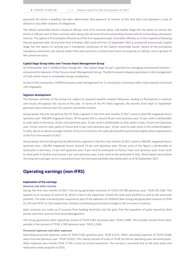payments for which a deadline has been determined. Non-payment of interest of this kind does not represent a case of default or any other violation of obligations.

The hybrid convertible bond is issued at 100 per cent of its nominal value, and Capital Stage has the option to retract the bonds at 100 per cent of their nominal value along with all incurred and outstanding interest and all outstanding subsequent interest. This option is first available effective as of the first repayment date, thereafter effective as of the respective following interest payment date. At any time from 4 October 2021 (and not from 13 September 2021 as previously announced), Capital Stage has the option of carrying out a mandatory conversion of the hybrid convertible bonds. Notice of the premature mandatory conversion can only be made if the share price for a certain time frame corresponds to 130 per cent or greater of the conversion price.

#### Capital Stage Group takes over Treucon Asset Management Group

On 9 November 2017, CHORUS Clean Energy AG – the Capital Stage Group's specialist for managing institutional investors – announced its takeover of the Treucon Asset Management Group. The Berlin-based company specialises in the management of funds which invest in renewable energy installations.

As part of the transaction, CHORUS assumes asset management for 11 wind parks in Germany with a total capacity of around 120 megawatts.

#### Segment development

The business activities of the Group are subject to seasonal weather-related influences, leading to fluctuations in revenue and results throughout the course of the year. In terms of the PV Parks segment, the months from April to September generate more revenue than the autumn and winter months.

Actual power fed into the grid by the PV Parks segment in the first nine months of 2017 came to 634,549 megawatt-hours (previous year: 448,069 megawatt-hours). Of the power fed in, around 36 per cent (previous year: 31 per cent) is attributable to solar parks in Germany, 29 per cent (previous year: 22 per cent) is attributable to solar parks in Italy, 24 per cent (previous year: 33 per cent) to solar parks in France and 11 per cent (previous year: 14 per cent) to solar parks in the United Kingdom. In total, due to an above-average number of hours of sunshine, the solar park portfolio performed slightly above expectations in the first nine months of 2017.

Actual power fed into the grid by the Wind Parks segment in the first nine months of 2017 came to 348,901 megawatt-hours (previous year: 138,993 megawatt-hours). Around 74 per cent (previous year: 94 per cent) of this figure is attributable to wind parks in Germany, 15 per cent (previous year: 0 per cent) to wind parks in France, 9 per cent (previous year: 0 per cent) to wind parks in Austria and around 2 per cent (previous year: 6 per cent) to the wind park in Italy. Wind speeds were below the long-term average, so on a cumulative basis the wind park portfolio was below plan as of 30 September 2017.

## Operating earnings (non-IFRS)

#### Explanation of the earnings

#### Revenue and other income

During the first nine months of 2017, the Group generated revenues of TEUR 179,789 (previous year: TEUR 107,528). This equates to an increase of some 67 %, which is due to the expansion of both the solar park portfolio as well as the wind park portfolio. The solar and wind parks acquired as part of the takeover of CHORUS Clean Energy AG generated revenue of TEUR 41,139 and TEUR 13,129 respectively, thereby contributing particularly strongly to the increase in revenue.

Sales revenues are made up of revenue from feeding electricity into the grid, from the operation of parks owned by third parties and from revenue from Asset Management.

The Group generated other operating income of TEUR 4,067 (previous year: TEUR 2,398). This includes income from other periods in the amount of TEUR 1,740 (previous year: TEUR 1,539).

#### Personnel expenses and other expenses

Operating personnel expenses came to TEUR 7,056 (previous year: TEUR 4,227). Other operating expenses of TEUR 33,566 were incurred (previous year: TEUR 19,422). This mainly consists of costs of TEUR 26,149 for operating solar and wind parks. Other expenses also include TEUR 7,718 in costs of current operations. The increase is primarily due to the solar parks and wind parks newly acquired in 2016.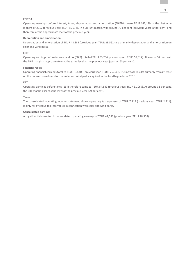#### EBITDA

Operating earnings before interest, taxes, depreciation and amortisation (EBITDA) were TEUR 142,139 in the first nine months of 2017 (previous year: TEUR 85,574). The EBITDA margin was around 79 per cent (previous year: 80 per cent) and therefore at the approximate level of the previous year.

#### Depreciation and amortisation

Depreciation and amortisation of TEUR 48,883 (previous year: TEUR 28,562) are primarily depreciation and amortisation on solar and wind parks.

#### EBIT

Operating earnings before interest and tax (EBIT) totalled TEUR 93,256 (previous year: TEUR 57,012). At around 52 per cent, the EBIT margin is approximately at the same level as the previous year (approx. 53 per cent).

#### Financial result

Operating financial earnings totalled TEUR -38,408 (previous year: TEUR -25,943). The increase results primarily from interest on the non-recourse loans for the solar and wind parks acquired in the fourth quarter of 2016.

#### EBT

Operating earnings before taxes (EBT) therefore came to TEUR 54,849 (previous year: TEUR 31,069). At around 31 per cent, the EBT margin exceeds the level of the previous year (29 per cent).

#### Taxes

The consolidated operating income statement shows operating tax expenses of TEUR 7,315 (previous year: TEUR 2,711), mainly for effective tax receivables in connection with solar and wind parks.

#### Consolidated earnings

Altogether, this resulted in consolidated operating earnings of TEUR 47,533 (previous year: TEUR 28,358).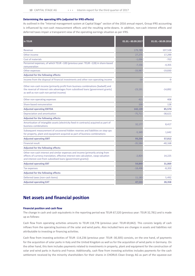#### Determining the operating KPIs (adjusted for IFRS effects)

As outlined in the "Internal management system at Capital Stage" section of the 2016 annual report, Group IFRS accounting is influenced by non-cash measurement effects and the resulting write-downs. In addition, non-cash interest effects and deferred taxes impair a transparent view of the operating earnings situation as per IFRS.

| in TEUR                                                                                                                                                                                                                                 | 01.01. - 30.09.2017 | 01.01. - 30.09.2016 |
|-----------------------------------------------------------------------------------------------------------------------------------------------------------------------------------------------------------------------------------------|---------------------|---------------------|
| Revenue                                                                                                                                                                                                                                 | 179,789             | 107,528             |
| Other income                                                                                                                                                                                                                            | 27,275              | 17,299              |
| Cost of materials                                                                                                                                                                                                                       | $-1,096$            | $-702$              |
| Personnel expenses, of which TEUR-100 (previous year: TEUR-128) in share-based<br>remuneration                                                                                                                                          | $-7,156$            | $-4,355$            |
| Other expenses                                                                                                                                                                                                                          | $-33,987$           | $-19,830$           |
| Adjusted for the following effects:                                                                                                                                                                                                     |                     |                     |
| Income from the disposal of financial investments and other non-operating income                                                                                                                                                        | $-18$               | $-9$                |
| Other non-cash income (primarily profit from business combinations [badwill] and<br>the reversal of interest rate advantages from subsidised loans [government grants]<br>as well as non-cash non-period income)                        | $-23,191$           | $-14,892$           |
| Other non-operating expenses                                                                                                                                                                                                            | 421                 | 408                 |
| Share-based remuneration                                                                                                                                                                                                                | 100                 | 128                 |
| <b>Adjusted operating EBITDA</b>                                                                                                                                                                                                        | 142,139             | 85,574              |
| Depreciation and amortisation                                                                                                                                                                                                           | $-75,711$           | $-38,621$           |
| Adjusted for the following effects:                                                                                                                                                                                                     |                     |                     |
| Amortisation of intangible assets (electricity feed-in contracts) acquired as part of<br>business combinations                                                                                                                          | 32,177              | 8,417               |
| Subsequent measurement of uncovered hidden reserves and liabilities on step-ups<br>for property, plant and equipment acquired as part of business combinations                                                                          | $-5,349$            | 1,642               |
| <b>Adjusted operating EBIT</b>                                                                                                                                                                                                          | 93,256              | 57,012              |
| <b>Financial result</b>                                                                                                                                                                                                                 | $-35,584$           | $-40,168$           |
| Adjusted for the following effects:                                                                                                                                                                                                     |                     |                     |
| Other non-cash interest and similar expenses and income (primarily arising from<br>effects of currency translation, effective interest rate calculation, swap valuation<br>and interest cost from subsidised loans [government grants]) | $-2,824$            | 14,225              |
| <b>Adjusted operating EBT</b>                                                                                                                                                                                                           | 54,849              | 31,069              |
| Tax expenses                                                                                                                                                                                                                            | $-18,498$           | $-8,203$            |
| Adjusted for the following effects:                                                                                                                                                                                                     |                     |                     |
| Deferred taxes (non-cash items)                                                                                                                                                                                                         | 11,183              | 5,492               |
| <b>Adjusted operating EAT</b>                                                                                                                                                                                                           | 47,533              | 28,358              |

# Net assets and financial position

#### Financial position and cash flow

The change in cash and cash equivalents in the reporting period was TEUR 67,520 (previous year: TEUR 32,781) and is made up as follows:

Cash flow from operating activities amounts to TEUR 118,778 (previous year: TEUR 69,842). This consists largely of cash inflows from the operating business of the solar and wind parks. Also included here are changes in assets and liabilities not attributable to investing or financing activities.

Cash flow from investing activities of TEUR -114,236 (previous year: TEUR -30,305) consists, on the one hand, of payments for the acquisition of solar parks in Italy and the United Kingdom as well as for the acquisition of wind parks in Germany. On the other hand, this item includes payments related to investments in property, plant and equipment for the construction of solar and wind parks in Austria and France. Additionally, cash flow from investing activities includes payments for the cash settlement received by the minority shareholders for their shares in CHORUS Clean Energy AG as part of the squeeze-out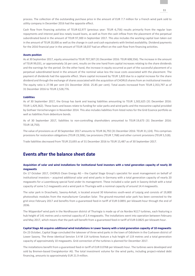process. The collection of the outstanding purchase price in the amount of EUR 7.7 million for a French wind park sold to utility company in December 2016 had the opposite effect.

Cash flow from financing activities of TEUR 62,977 (previous year: TEUR -6,756) results primarily from the regular loan repayments and interest paid less newly issued loans, as well as from the cash inflow from the placement of the perpetual subordinated bond in the amount of TEUR 97,300 in September 2017. This also includes the working capital loan taken out in the amount of TEUR 20,000 as well as the change in cash and cash equivalents with limited availability. Dividend payments for the 2016 financial year in the amount of TEUR 18,037 had an effect on the cash flow from financing activities.

#### Assets position

As at 30 September 2017, equity amounted to TEUR 707,587 (31 December 2016: TEUR 608,556). The increase in the amount of TEUR 99,031, or approximately 16 per cent, results on the one hand from capital increases relating to the share dividends and the earnings for the period. On the other hand, the increase in equity occurred as part of the successful placement of a perpetual subordinated bond in the amount of the nominal value less the issue costs associated with the placement. The payment of dividends had the opposite effect. Share capital increased by TEUR 1,820 due to a capital increase for the share dividend and through the exchange of shares associated with the acquisition of CHORUS shares from an institutional investor. The equity ratio is 27.98 per cent (31 December 2016: 25.85 per cent). Total assets increased from TEUR 2,353,797 as of 31 December 2016 to TEUR 2,528,776.

#### Liabilities

As of 30 September 2017, the Group has bank and leasing liabilities amounting to TEUR 1,502,625 (31 December 2016: TEUR 1,429,362). These loans and leases relate to funding for solar parks and wind parks and the mezzanine capital provided by Gothaer Versicherungen in November 2014. This also includes liabilities from listed notes for the Grid Essence portfolio as well as liabilities from debenture bonds.

As of 30 September 2017, liabilities to non-controlling shareholders amounted to TEUR 19,673 (31 December 2016: TEUR 18,750).

The value of provisions as of 30 September 2017 amounts to TEUR 36,792 (31 December 2016: TEUR 31,124). This comprises provisions for restoration obligations (TEUR 23,506), tax provisions (TEUR 7,768) and other current provisions (TEUR 5,518).

Trade liabilities decreased from TEUR 23,693 as of 31 December 2016 to TEUR 15,487 as of 30 September 2017.

## Events after the balance sheet date

#### Acquisition of solar and wind installations for institutional fund investors with a total generation capacity of nearly 20 megawatts

On 17 October 2017, CHORUS Clean Energy AG – the Capital Stage Group's specialist for asset management on behalf of institutional investors – acquired additional solar and wind parks in Germany with a total generation capacity of nearly 20 megawatts for a Luxembourg special fund under its management. These included a solar park in Saxony-Anhalt with a total capacity of some 5.2 megawatts and a wind park in Thuringia with a nominal capacity of around 14.4 megawatts.

The solar park in Draschwitz, Saxony-Anhalt, is located around 30 kilometres south-west of Leipzig and consists of 19,800 photovoltaic modules from the manufacturer Canadian Solar. The ground-mounted solar park has been connected to the grid since February 2017 and benefits from a guaranteed feed-in tariff of EUR 0.0891 per kilowatt-hour through the end of 2036.

The Wipperdorf wind park in the Nordhausen district of Thuringia is made up of six Nordex N117 turbines, each featuring a hub height of 141 metres and a nominal capacity of 2.4 megawatts. The installations went into operation between February and May 2017, which means that the park will benefit from a guaranteed feed-in tariff of EUR 0.0825 per kilowatt-hour.

#### Capital Stage AG acquires additional wind installations in Lower Saxony with a total generation capacity of 10 megawatts

On 23 October, Capital Stage concluded the takeover of three wind parks in the town of Odisheim in the Cuxhaven district of Lower Saxony. The three identical Senvion 3.4 M 114 turbines feature a hub height of 119 metres and a total generation capacity of approximately 10 megawatts. Grid connection of the turbines is planned for December 2017.

The installations benefit from a guaranteed feed-in tariff of EUR 0.0768 per kilowatt-hour. The turbines were developed and sold by Bremen-based Energiekontor AG. The total investment volume for the wind parks, including project-related debt financing, amounts to approximately EUR 21.9 million.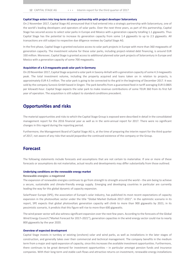#### Capital Stage enters into long-term strategic partnership with project developer Solarcentury

On 2 November 2017, Capital Stage AG announced that it had entered into a strategic partnership with Solarcentury, one of the world's leading developers and operators of solar parks. Over the next three years, as part of this partnership, Capital Stage has secured access to select solar parks in Europe and Mexico with a generation capacity totalling 1.1 gigawatts. Thus Capital Stage has the potential to increase its generation capacity from some 1.4 gigawatts to up to 2.5 gigawatts. All transactions are still subject to respective due diligence reviews by Capital Stage AG.

In the first phase, Capital Stage is granted exclusive access to solar park projects in Europe with more than 360 megawatts of generation capacity. The investment volume for these solar parks, including project-related debt financing, is around EUR 330 million. Moreover, Capital Stage is granted access to additional planned solar park projects of Solarcentury in Europe and Mexico with a generation capacity of some 700 megawatts.

#### Acquisition of a 4.3-megawatts-peak solar park in Germany

On 20 November 2017, Capital Stage acquired a solar park in Saxony-Anhalt with a generation capacity of some 4.3 megawatts peak. The total investment volume, including the property acquired and loans taken on in relation to projects, is approximately EUR 4.5 million. The solar park is going to be connected to the grid in the beginning of December 2017. It was sold by the company Sunovis GmbH based in Singen. The park benefits from a guaranteed feed-in tariff averaging EUR 0.0805 per kilowatt-hour. Capital Stage expects the solar park to make revenue contributions of some TEUR 360 from its first full year of operation. The acquisition is still subject to standard conditions precedent.

## Opportunities and risks

The material opportunities and risks to which the Capital Stage Group is exposed were described in detail in the consolidated management report for the 2016 financial year as well as in the semi-annual report for 2017. There were no significant changes in this regard during the reporting period.

Furthermore, the Management Board of Capital Stage AG is, at the time of preparing the interim report for the third quarter of 2017, not aware of any risks that would jeopardise the continued existence of the company or the Group.

## Forecast

The following statements include forecasts and assumptions that are not certain to materialise. If one or more of these forecasts or assumptions do not materialise, actual results and developments may differ substantially from those outlined.

#### Underlying conditions on the renewable energy market

#### Renewable energies: a megatrend

The expansion of renewable energies continues to go from strength to strength around the world – the aim being to achieve a secure, sustainable and climate-friendly energy supply. Emerging and developing countries in particular are currently leading the way for this global dynamic of capacity expansion.

SolarPower Europe (SPE), the association of Europe's solar industry, has published its most recent expectations of capacity expansion in the photovoltaic sector under the title "Global Market Outlook 2017–2021". In the optimistic scenario in its report, SPE expects that global photovoltaic generation capacity will climb to more than 900 gigawatts by 2021; in its pessimistic scenario, it predicts that this figure will rise to more than 600 gigawatts.

The wind power sector will also witness significant expansion over the next few years. According to the forecasts of the Global Wind Energy Council ("Market Forecast for 2017–2021"), generation capacities in the wind energy sector could rise to nearly 800 gigawatts by the year 2020.

#### Overview of expected development

Capital Stage invests in turnkey or existing (onshore) solar and wind parks, as well as installations in the later stages of construction, and generally takes over their commercial and technical management. The company benefits in the medium term from a major and rapid expansion of capacity, since this increases the available investment opportunities. Furthermore, there continues to be great demand for investment opportunities – in particular amongst pension funds and insurance companies. With their long-term and stable cash flows and attractive returns on investment, renewable energy installations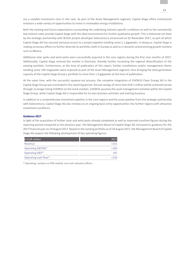are a suitable investment class in this case. As part of the Asset Management segment, Capital Stage offers institutional investors a wide variety of opportunities to invest in renewable energy installations.

Both the existing and future expectations surrounding the underlying industry-specific conditions as well as the consistently low interest rates provide Capital Stage with the ideal environment for further qualitative growth. This is bolstered not least by the strategic partnership with British project developer Solarcentury announced on 02 November 2017, as part of which Capital Stage AG has secured exclusive access to a project pipeline totalling some 1.1 gigawatts. In doing so, Capital Stage is making conscious efforts to further diversify its portfolio, both in Europe as well as in dynamic and promising growth markets such as Mexico.

Additional solar parks and wind parks were successfully acquired in the core regions during the first nine months of 2017. Additionally, Capital Stage entered the market in Denmark, thereby further increasing the regional diversification of the existing portfolio. Furthermore, at the time of publication of this report, further installations and/or management clients totalling some 140 megawatts were acquired as part of the Asset Management segment, thus bringing the total generation capacity of the Capital Stage Group's portfolio to more than 1.4 gigawatts at the time of publication.

At the same time, with the successful squeeze-out process, the complete integration of CHORUS Clean Energy AG in the Capital Stage Group was concluded in the reporting period. Annual savings of more than EUR 1 million will be achieved merely through no longer listing CHORUS on the stock markets. CHORUS assumes the asset management activities within the Capital Stage Group, while Capital Stage AG is responsible for its own business activities and existing business.

In addition to a comprehensive investment pipeline in the core regions and the asset pipeline from the strategic partnership with Solarcentury, Capital Stage AG also reviews on an ongoing basis entry opportunities into further regions with attractive investment conditions.

#### Guidance 2017

In light of the acquisition of further solar and wind parks already completed as well as improved sunshine figures during the reporting period compared to the previous year, the Management Board of Capital Stage AG increased its guidance for the 2017 financial year on 24 August 2017. Based on the existing portfolio as of 24 August 2017, the Management Board of Capital Stage AG expects the following development of key operating figures:

| in EUR million           | 2017 |
|--------------------------|------|
| Revenue                  | >215 |
| <b>Operating EBITDA*</b> | >160 |
| Operating EBIT*          | >97  |
| Operating cash flow*     | >150 |

\* Operating; contains no IFRS-related, non-cash valuation effects.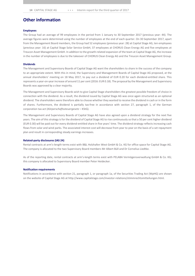# Other information

#### Employees

The Group had an average of 99 employees in the period from 1 January to 30 September 2017 (previous year: 44). The average figures were determined using the number of employees at the end of each quarter. On 30 September 2017, apart from the Management Board members, the Group had 52 employees (previous year: 28) at Capital Stage AG, ten employees (previous year: 16) at Capital Stage Solar Service GmbH, 37 employees at CHORUS Clean Energy AG and five employees at Treucon Asset Management GmbH. In addition to the growth-related expansion of the team at Capital Stage AG, the increase in the number of employees is due to the takeover of CHORUS Clean Energy AG and the Treucon Asset Management Group.

#### Dividends

The Management and Supervisory Boards of Capital Stage AG want the shareholders to share in the success of the company to an appropriate extent. With this in mind, the Supervisory and Management Boards of Capital Stage AG proposed, at the annual shareholders' meeting on 18 May 2017, to pay out a dividend of EUR 0.20 for each dividend-entitled share. This represents a year-on-year increase of around 11 per cent (2016: EUR 0.18). The proposal by the Management and Supervisory Boards was approved by a clear majority.

The Management and Supervisory Boards wish to give Capital Stage shareholders the greatest possible freedom of choice in connection with the dividend. As a result, the dividend issued by Capital Stage AG was once again structured as an optional dividend. The shareholders were therefore able to choose whether they wanted to receive the dividend in cash or in the form of shares. Furthermore, the dividend is partially tax-free in accordance with section 27, paragraph 1, of the German corporation tax act (Körperschaftssteuergesetz – KStG).

The Management and Supervisory Boards of Capital Stage AG have also agreed upon a dividend strategy for the next five years. The aim of this strategy is for the dividend of Capital Stage AG to rise continuously so that a 50 per cent higher dividend (EUR 0.30) will be paid out for every dividend-entitled share in five years' time. The dividend strategy reflects increasing cash flows from solar and wind parks. The associated interest cost will decrease from year to year on the basis of a set repayment plan and result in corresponding steady earnings increases.

#### Related-party disclosures (IAS 24)

Rental contracts at arm's-length terms exist with B&L Holzhafen West GmbH & Co. KG for office space for Capital Stage AG. The company is allocated to the two Supervisory Board members Mr Albert Büll and Dr Cornelius Liedtke.

As of the reporting date, rental contracts at arm's-length terms exist with PELABA Vermögensverwaltung GmbH & Co. KG; this company is allocated to Supervisory Board member Peter Heidecker.

#### Notification requirements

Notifications in accordance with section 21, paragraph 1, or paragraph 1a, of the Securities Trading Act (WpHG) are shown on the website of Capital Stage AG at http://www.capitalstage.com/investor-relations/stimmrechtsmitteilungen.html.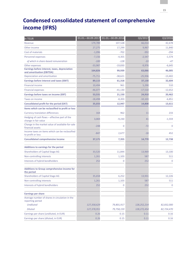# Condensed consolidated statement of comprehensive income (IFRS)

| in TEUR                                                                    | 01.01.-30.09.2017 | 01.01. - 30.09.2016 | Q3/2017       | Q3/2016    |
|----------------------------------------------------------------------------|-------------------|---------------------|---------------|------------|
| Revenue                                                                    | 179,789           | 107,528             | 66,014        | 42,678     |
| Other income                                                               | 27,275            | 17,299              | 9,967         | 11,840     |
| Cost of materials                                                          | $-1,096$          | $-702$              | $-392$        | $-294$     |
| Personnel expenses                                                         | $-7,156$          | $-4,355$            | $-2,547$      | $-1,574$   |
| of which in share-based remuneration                                       | $-100$            | $-128$              | $-33$         | $-47$      |
| Other expenses                                                             | $-33,987$         | $-19,830$           | $-9,976$      | $-6,645$   |
| Earnings before interest, taxes, depreciation<br>and amortisation (EBITDA) | 164,826           | 99,939              | 63,066        | 46,005     |
| Depreciation and amortisation                                              | $-75,711$         | $-38,621$           | $-25,936$     | $-13,402$  |
| Earnings before interest and taxes (EBIT)                                  | 89,115            | 61,318              | 37,130        | 32,604     |
| <b>Financial income</b>                                                    | 10,494            | 961                 | 5,290         | 510        |
| <b>Financial expenses</b>                                                  | $-46,077$         | $-41,130$           | $-17,510$     | $-12,652$  |
| Earnings before taxes on income (EBT)                                      | 53,531            | 21,150              | 24,910        | 20,462     |
| Taxes on income                                                            | $-18,498$         | $-8,203$            | $-10,103$     | $-6,851$   |
| Consolidated profit for the period (EAT)                                   | 35,033            | 12,947              | 14,808        | 13,611     |
| Items which can be reclassified to profit or loss                          |                   |                     |               |            |
| <b>Currency translation differences</b>                                    | 164               | 962                 | 11            | 233        |
| Hedging of cash flows - effective part of the<br>change in fair value      | 3,069             | $-9,230$            | 41            | $-1,559$   |
| Change in the market value of available-for-sale<br>financial assets       | $-248$            | 0                   | $-72$         | 0          |
| Income taxes on items which can be reclassified<br>to profit or loss       | $-847$            | 2,677               | $-18$         | 452        |
| <b>Consolidated comprehensive income</b>                                   | 37,171            | 7,355               | 14,770        | 12,738     |
| Additions to earnings for the period                                       |                   |                     |               |            |
| Shareholders of Capital Stage AG                                           | 33,520            | 11,844              | 13,969        | 13,100     |
| Non-controlling interests                                                  | 1,261             | 1,103               | 587           | 511        |
| Interests of hybrid bondholders                                            | 252               | 0                   | 252           | 0          |
| Additions to Group comprehensive income for<br>the period                  |                   |                     |               |            |
| Shareholders of Capital Stage AG                                           | 35,658            | 6,252               | 13,931        | 12,226     |
| Non-controlling interests                                                  | 1,261             | 1,103               | 587           | 511        |
| Interests of hybrid bondholders                                            | 252               | 0                   | 252           | 0          |
| <b>Earnings per share</b>                                                  |                   |                     |               |            |
| Average number of shares in circulation in the<br>reporting period         |                   |                     |               |            |
| <b>Undiluted</b>                                                           | 127,358,629       | 79,801,917          | 128, 252, 214 | 82,832,000 |
| <b>Diluted</b>                                                             | 127,378,951       | 79,758,159          | 128,272,454   | 82,724,470 |
| Earnings per share (undiluted, in EUR)                                     | 0.26              | 0.15                | 0.11          | 0.16       |
| Earnings per share (diluted, in EUR)                                       | 0.26              | 0.15                | 0.11          | 0.16       |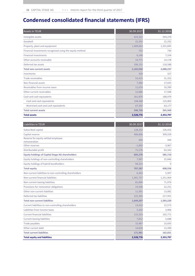# Condensed consolidated financial statements (IFRS)

| <b>Assets in TEUR</b>                                    | 30.09.2017 | 31.12.2016 |
|----------------------------------------------------------|------------|------------|
| Intangible assets                                        | 622,322    | 593,270    |
| Goodwill                                                 | 22,292     | 22,292     |
| Property, plant and equipment                            | 1,409,664  | 1,331,845  |
| Financial investments recognised using the equity method | 722        | 730        |
| <b>Financial investments</b>                             | 6,148      | 7,334      |
| Other accounts receivable                                | 14,771     | 14,178     |
| Deferred tax assets                                      | 106,131    | 118,588    |
| <b>Total non-current assets</b>                          | 2,182,050  | 2,088,237  |
| Inventories                                              | 320        | 327        |
| <b>Trade receivables</b>                                 | 53,415     | 31,352     |
| Non-financial assets                                     | 7,360      | 17,025     |
| Receivables from income taxes                            | 11,674     | 10,289     |
| Other current receivables                                | 12,086     | 17,588     |
| Cash and cash equivalents                                | 261,870    | 188,979    |
| Cash and cash equivalents                                | 194,568    | 125,802    |
| Restricted cash and cash equivalents                     | 67,302     | 63,177     |
| <b>Total current assets</b>                              | 346,726    | 265,560    |
| <b>Total assets</b>                                      | 2,528,776  | 2,353,797  |

| Liabilities in TEUR                                     | 30.09.2017 | 31.12.2016 |
|---------------------------------------------------------|------------|------------|
| Subscribed capital                                      | 128,252    | 126,432    |
| Capital reserve                                         | 406,836    | 399,559    |
| Reserve for equity-settled employee<br>remuneration     | 444        | 344        |
| Other reserves                                          | $-1,830$   | $-3,967$   |
| Distributable profit                                    | 71,576     | 63,342     |
| <b>Equity holdings of Capital Stage AG shareholders</b> | 605,278    | 585,710    |
| Equity holdings of non-controlling shareholders         | 7,997      | 22,846     |
| Equity holdings of hybrid bondholders                   | 94,313     | $\Omega$   |
| <b>Total equity</b>                                     | 707,587    | 608,556    |
| Non-current liabilities to non-controlling shareholders | 6,263      | 5,997      |
| Non-current financial liabilities                       | 1,301,737  | 1,251,964  |
| Non-current leasing liabilities                         | 81,004     | 71,976     |
| Provisions for restoration obligations                  | 23,506     | 22,251     |
| Other non-current liabilities                           | 11,391     | 13,081     |
| Deferred tax liabilities                                | 225,305    | 217,951    |
| <b>Total non-current liabilities</b>                    | 1,649,207  | 1,583,220  |
| Current liabilities to non-controlling shareholders     | 13,410     | 12,573     |
| Liabilities from income taxes                           | 5,202      | 3,906      |
| <b>Current financial liabilities</b>                    | 115,253    | 102,771    |
| <b>Current leasing liabilities</b>                      | 7,812      | 5,688      |
| <b>Trade payables</b>                                   | 15,487     | 23,693     |
| Other current debt                                      | 14,818     | 13,390     |
| <b>Total current liabilities</b>                        | 171,981    | 162,021    |
| <b>Total equity and liabilities</b>                     | 2,528,776  | 2,353,797  |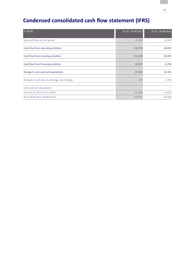# Condensed consolidated cash flow statement (IFRS)

| in TEUR                                      | 01.01. - 30.09.2017 | 01.01. - 30.09.2016 |
|----------------------------------------------|---------------------|---------------------|
| Net profit/loss for the period               | 35,033              | 12,947              |
| Cash flow from operating activities          | 118,778             | 69,842              |
| Cash flow from investing activities          | $-114,236$          | $-30,305$           |
| <b>Cash flow from financing activities</b>   | 62,977              | $-6,756$            |
| Change in cash and cash equivalents          | 67,520              | 32,781              |
| Changes in cash due to exchange rate changes | $-376$              | $-1,761$            |
| Cash and cash equivalents                    |                     |                     |
| As of 01.01.2017 (01.01.2016)                | 125,698             | 51,629              |
| As of 30.09.2017 (30.09.2016)                | 192,841             | 82,649              |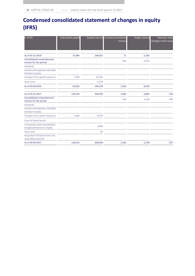# Condensed consolidated statement of changes in equity (IFRS)

| in TEUR                                                                | Subscribed capital | Capital reserve | <b>Currency translation</b><br>reserve | Hedge reserve | <b>Reserves from</b><br>changes in fair value |
|------------------------------------------------------------------------|--------------------|-----------------|----------------------------------------|---------------|-----------------------------------------------|
|                                                                        |                    |                 |                                        |               |                                               |
| As of 01.01.2016 <sup>1</sup>                                          | 75,484             | 108,651         | 71                                     | $-2,265$      |                                               |
| <b>Consolidated comprehensive</b><br>income for the period             |                    |                 | 962                                    | $-6,554$      |                                               |
| <b>Dividends</b>                                                       |                    |                 |                                        |               |                                               |
| Income and expenses recorded<br>directly in equity                     |                    |                 |                                        |               |                                               |
| Changes from capital measures                                          | 7,349              | 42,207          |                                        |               |                                               |
| <b>Issue costs</b>                                                     |                    | $-1,679$        |                                        |               |                                               |
| As of 30.09.2016                                                       | 82,832             | 149,179         | 1,033                                  | $-8,819$      |                                               |
| As of 01.01.2017                                                       | 126,432            | 399,559         | 1,062                                  | $-4,887$      | $-142$                                        |
| <b>Consolidated comprehensive</b><br>income for the period             |                    |                 | 164                                    | 2,159         | $-185$                                        |
| <b>Dividends</b>                                                       |                    |                 |                                        |               |                                               |
| Income and expenses recorded<br>directly in equity                     |                    |                 |                                        |               |                                               |
| Changes from capital measures                                          | 1,820              | 8,973           |                                        |               |                                               |
| Issue of hybrid bonds                                                  |                    |                 |                                        |               |                                               |
| <b>Transactions with shareholders</b><br>recognised directly in equity |                    | $-1,604$        |                                        |               |                                               |
| <b>Issue costs</b>                                                     |                    | $-92$           |                                        |               |                                               |
| Acquisition of shares from non-<br>controlling interests               |                    |                 |                                        |               |                                               |
| As of 30.09.2017                                                       | 128,252            | 406,836         | 1,226                                  | $-2,728$      | $-327$                                        |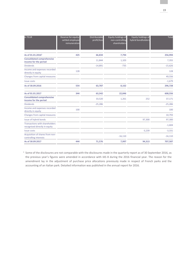| in TEUR                                                                | Reserve for equity-<br>settled employee<br>remuneration | Distributable<br>profit/loss | Equity holdings of<br>non-controlling<br>shareholders | Equity holdings of<br>hybrid bondholders | Total     |
|------------------------------------------------------------------------|---------------------------------------------------------|------------------------------|-------------------------------------------------------|------------------------------------------|-----------|
| As of 01.01.2016 <sup>1</sup>                                          | 425                                                     | 66,834                       | 7,794                                                 |                                          | 256,994   |
| <b>Consolidated comprehensive</b><br>income for the period             |                                                         | 11,844                       | 1,103                                                 |                                          | 7,355     |
| <b>Dividends</b>                                                       |                                                         | $-14,891$                    | $-735$                                                |                                          | $-15,626$ |
| Income and expenses recorded<br>directly in equity                     | 128                                                     |                              |                                                       |                                          | 128       |
| Changes from capital measures                                          |                                                         |                              |                                                       |                                          | 49,556    |
| <b>Issue costs</b>                                                     |                                                         |                              |                                                       |                                          | $-1,679$  |
| As of 30.09.2016                                                       | 554                                                     | 63,787                       | 8,162                                                 |                                          | 296,728   |
| As of 01.01.2017                                                       | 344                                                     | 63,342                       | 22,846                                                |                                          | 608,556   |
| <b>Consolidated comprehensive</b><br>income for the period             |                                                         | 33,520                       | 1,261                                                 | 252                                      | 37,171    |
| <b>Dividends</b>                                                       |                                                         | $-25,286$                    |                                                       |                                          | $-25,286$ |
| Income and expenses recorded<br>directly in equity                     | 100                                                     |                              |                                                       |                                          | 100       |
| Changes from capital measures                                          |                                                         |                              |                                                       |                                          | 10,793    |
| Issue of hybrid bonds                                                  |                                                         |                              |                                                       | 97,300                                   | 97,300    |
| <b>Transactions with shareholders</b><br>recognised directly in equity |                                                         |                              |                                                       |                                          | $-1,604$  |
| Issue costs                                                            |                                                         |                              |                                                       | $-3,239$                                 | $-3,331$  |
| Acquisition of shares from non-<br>controlling interests               |                                                         |                              | $-16,110$                                             |                                          | $-16,110$ |
| As of 30.09.2017                                                       | 444                                                     | 71,576                       | 7,997                                                 | 94,313                                   | 707,587   |

 $1$  Some of the disclosures are not comparable with the disclosures made in the quarterly report as of 30 September 2016, as the previous year's figures were amended in accordance with IAS 8 during the 2016 financial year. The reason for the amendment lay in the adjustment of purchase price allocations previously made in respect of French parks and the accounting of an Italian park. Detailed information was published in the annual report for 2016.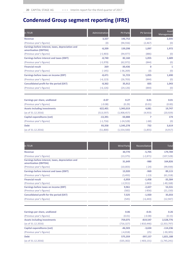# Condensed Group segment reporting (IFRS)

| in TEUR                                                                    | Administration | <b>PV Parks</b> | <b>PV Service</b> | Asset<br>Management |
|----------------------------------------------------------------------------|----------------|-----------------|-------------------|---------------------|
| <b>Revenue</b>                                                             | 3,327          | 146,752         | 2,611             | 2,035               |
| (Previous year's figures)                                                  | (0)            | (94, 556)       | (2,467)           | (0)                 |
| Earnings before interest, taxes, depreciation and<br>amortisation (EBITDA) | $-8,209$       | 139,298         | 1,097             | 1,972               |
| (Previous year's figures)                                                  | $(-5,903)$     | (94, 977)       | (886)             | (0)                 |
| Earnings before interest and taxes (EBIT)                                  | $-8,740$       | 82,160          | 1,055             | 1,689               |
| (Previous year's figures)                                                  | $(-5, 978)$    | (62, 972)       | (844)             | (0)                 |
| <b>Financial result</b>                                                    | 269            | $-30,436$       | 0                 | 1                   |
| (Previous year's figures)                                                  | $(-145)$       | $(-36, 269)$    | (0)               | (0)                 |
| Earnings before taxes on income (EBT)                                      | $-8,471$       | 51,723          | 1,055             | 1,690               |
| (Previous year's figures)                                                  | $(-6, 123)$    | (26, 703)       | (844)             | (0)                 |
| <b>Consolidated profit for the period (EAT)</b>                            | $-8,362$       | 35,912          | 835               | 1,043               |
| (Previous year's figures)                                                  | $(-6, 126)$    | (24, 126)       | (844)             | (0)                 |
| Earnings per share, undiluted                                              | $-0.07$        | 0.27            | 0.01              | 0.01                |
| (Previous year's figures)                                                  | $(-0.08)$      | (0.29)          | (0.01)            | (0.00)              |
| <b>Assets including investments</b>                                        | 622,401        | 1,943,019       | 4,081             | 19,747              |
| (as of 31.12.2016)                                                         | (513, 597)     | (1,908,457)     | (4,933)           | (20, 929)           |
| Capital expenditures (net)                                                 | $-13,391$      | $-50,888$       | 7                 | 174                 |
| (Previous year's figures)                                                  | $(-1, 716)$    | $(-24, 528)$    | $(-68)$           | (0)                 |
| <b>Debt</b>                                                                | 93,358         | 1,545,278       | 732               | 3,619               |
| (as of 31.12.2016)                                                         | (51,800)       | (1,554,500)     | (1,855)           | (4, 917)            |

| in TEUR                                                                    | <b>Wind Parks</b> | Reconciliation | Total         |
|----------------------------------------------------------------------------|-------------------|----------------|---------------|
| <b>Revenue</b>                                                             | 30,770            | $-5,705$       | 179,789       |
| (Previous year's figures)                                                  | (13, 375)         | $(-2, 871)$    | (107, 528)    |
| Earnings before interest, taxes, depreciation and<br>amortization (EBITDA) | 31,649            | $-980$         | 164,826       |
| (Previous year's figures)                                                  | (10,003)          | $(-24)$        | (99, 939)     |
| <b>Earnings before interest and taxes (EBIT)</b>                           | 13,920            | $-969$         | 89,115        |
| (Previous year's figures)                                                  | (3, 493)          | $(-13)$        | (61, 318)     |
| <b>Financial result</b>                                                    | $-3,959$          | $-1,458$       | $-35,584$     |
| (Previous year's figures)                                                  | $(-2, 911)$       | $(-843)$       | $(-40, 168)$  |
| Earnings before taxes on income (EBT)                                      | 9,961             | $-2,427$       | 53,531        |
| (Previous year's figures)                                                  | (582)             | $(-856)$       | (21, 150)     |
| Consolidated profit for the period (EAT)                                   | 7,525             | $-1,920$       | 35,033        |
| (Previous year's figures)                                                  | (545)             | $(-6, 443)$    | (12, 947)     |
| Earnings per share, undiluted                                              | 0.06              | $-0.01$        | 0.26          |
| (Previous year's figures)                                                  | (0.01)            | $(-0.08)$      | (0.15)        |
| <b>Assets including investments</b>                                        | 759,075           | $-819,547$     | 2,528,776     |
| (as of 31.12.2016)                                                         | (716, 327)        | $(-810, 446)$  | (2, 353, 797) |
| Capital expenditures (net)                                                 | $-46,503$         | $-3,634$       | $-114,236$    |
| (Previous year's figures)                                                  | $(-4,018)$        | (25)           | $(-30, 305)$  |
| <b>Debt</b>                                                                | 575,359           | $-397,157$     | 1,821,188     |
| (as of 31.12.2016)                                                         | (535, 302)        | $(-403, 131)$  | (1,745,241)   |
|                                                                            |                   |                |               |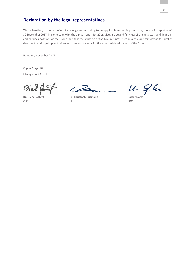# Declaration by the legal representatives

We declare that, to the best of our knowledge and according to the applicable accounting standards, the interim report as of 30 September 2017, in connection with the annual report for 2016, gives a true and fair view of the net assets and financial and earnings positions of the Group, and that the situation of the Group is presented in a true and fair way as to suitably describe the principal opportunities and risks associated with the expected development of the Group.

Hamburg, November 2017

Capital Stage AG

Management Board

Vial punt

 $6.72$ 

Dr. Dierk Paskert **Dr. Christoph Husmann** Holger Götze CEO CFO COO

11. 9.hr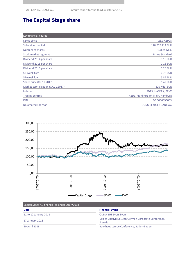# The Capital Stage share

| Key financial figures              |                                   |
|------------------------------------|-----------------------------------|
| Listed since                       | 28.07.1998                        |
| Subscribed capital                 | 128,252,214 EUR                   |
| Number of shares                   | 128.25 Mio.                       |
| Stock market segment               | <b>Prime Standard</b>             |
| Dividend 2014 per share            | 0.15 EUR                          |
| Dividend 2015 per share            | 0.18 EUR                          |
| Dividend 2016 per share            | 0.20 EUR                          |
| 52-week high                       | <b>6.78 EUR</b>                   |
| 52-week low                        | <b>5.85 EUR</b>                   |
| Share price (XX.11.2017)           | <b>6.42 EUR</b>                   |
| Market capitalisation (XX.11.2017) | 820 Mio. EUR                      |
| Indexes                            | SDAX, HASPAX, PPVX                |
| <b>Trading centres</b>             | Xetra, Frankfurt am Main, Hamburg |
| <b>ISIN</b>                        | DE 0006095003                     |
| Designated sponsor                 | <b>ODDO SEYDLER BANK AG</b>       |



| Capital Stage AG financial calendar 2017/2018<br><b>Date</b> | <b>Financial Event</b>                                          |
|--------------------------------------------------------------|-----------------------------------------------------------------|
| 11 to 12 January 2018                                        | ODDO BHF Lyon, Lyon                                             |
| 17 January 2018                                              | Kepler Cheuvreux 17th German Corporate Conference,<br>Frankfurt |
| 20 April 2018                                                | Bankhaus Lampe Conference, Baden-Baden                          |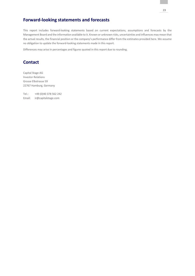# Forward-looking statements and forecasts

This report includes forward-looking statements based on current expectations, assumptions and forecasts by the Management Board and the information available to it. Known or unknown risks, uncertainties and influences may mean that the actual results, the financial position or the company's performance differ from the estimates provided here. We assume no obligation to update the forward-looking statements made in this report.

Differences may arise in percentages and figures quoted in this report due to rounding.

# **Contact**

Capital Stage AG Investor Relations Grosse Elbstrasse 59 22767 Hamburg, Germany

Tel.: +49 (0)40 378 562 242 Email: ir@capitalstage.com